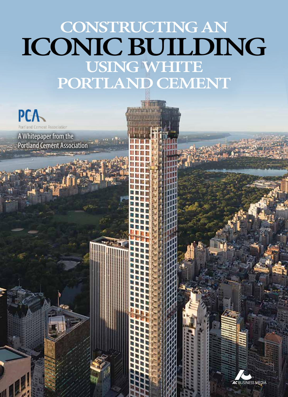# **Constructing an iconic building using white**  PORTLAND CEMENT

**AC** BUSINESS MEDIA

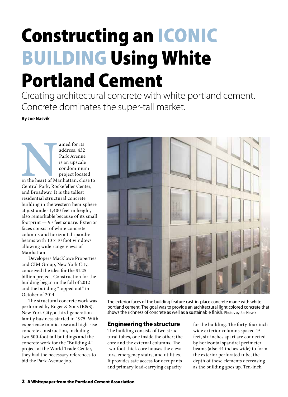# Constructing an Iconic **BUILDING Using White** Portland Cement

Creating architectural concrete with white portland cement. Concrete dominates the super-tall market.

**By Joe Nasvik**

amed for its<br>
address, 432<br>
Park Avenue<br>
is an upscale<br>
is an upscale<br>
condominiu<br>
project locat<br>
in the heart of Manhattan, clo<br>
Central Park, Rockefeller Cen<br>
and Broadway. It is the tallest address, 432 Park Avenue is an upscale condominium project located in the heart of Manhattan, close to Central Park, Rockefeller Center, and Broadway. It is the tallest residential structural concrete building in the western hemisphere at just under 1,400 feet in height, also remarkable because of its small footprint — 93 feet square. Exterior faces consist of white concrete columns and horizontal spandrel beams with 10 x 10 foot windows allowing wide range views of Manhattan.

Developers Macklowe Properties and CIM Group, New York City, conceived the idea for the \$1.25 billion project. Construction for the building began in the fall of 2012 and the building "topped out" in October of 2014.

The structural concrete work was performed by Roger & Sons (R&S), New York City, a third-generation family business started in 1975. With experience in mid-rise and high-rise concrete construction, including two 500-foot tall buildings and the concrete work for the "Building 4" project at the World Trade Center, they had the necessary references to bid the Park Avenue job.



The exterior faces of the building feature cast-in-place concrete made with white portland cement. The goal was to provide an architectural light colored concrete that shows the richness of concrete as well as a sustainable finish. Photos by Joe Nasvik

#### **Engineering the structure**

The building consists of two structural tubes, one inside the other; the core and the external columns. The two-foot thick core houses the elevators, emergency stairs, and utilities. It provides safe access for occupants and primary load-carrying capacity

for the building. The forty-four inch wide exterior columns spaced 15 feet, six inches apart are connected by horizontal spandrel perimeter beams (also 44 inches wide) to form the exterior perforated tube, the depth of these elements decreasing as the building goes up. Ten-inch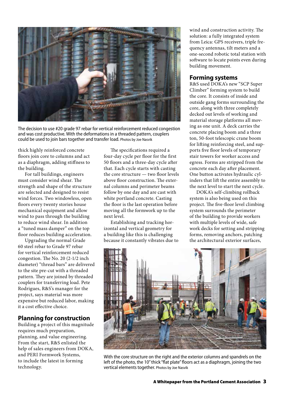

The decision to use #20 grade 97 rebar for vertical reinforcement reduced congestion and was cost productive. With the deformations in a threaded pattern, couplers could be used to join bars together and transfer load. Photos by Joe Nasvik

thick highly reinforced concrete floors join core to columns and act as a diaphragm, adding stiffness to the building.

For tall buildings, engineers must consider wind shear. The strength and shape of the structure are selected and designed to resist wind forces. Two windowless, open floors every twenty stories house mechanical equipment and allow wind to pass through the building to reduce wind shear. In addition a "tuned mass damper" on the top floor reduces building acceleration.

Upgrading the normal Grade 60 steel rebar to Grade 97 rebar for vertical reinforcement reduced congestion. The No. 20 (2-1/2 inch diameter) "thread bars" are delivered to the site pre-cut with a threaded pattern. They are joined by threaded couplers for transferring load. Pete Rodrigues, R&S's manager for the project, says material was more expensive but reduced labor, making it a cost effective choice.

## **Planning for construction**

Building a project of this magnitude requires much preparation, planning, and value engineering. From the start, R&S enlisted the help of sales engineers from DOKA, and PERI Formwork Systems, to include the latest in forming technology.

The specifications required a four-day cycle per floor for the first 50 floors and a three-day cycle after that. Each cycle starts with casting the core structure — two floor levels above floor construction. The external columns and perimeter beams follow by one day and are cast with white portland concrete. Casting the floor is the last operation before moving all the formwork up to the next level.

Establishing and tracking horizontal and vertical geometry for a building like this is challenging because it constantly vibrates due to wind and construction activity. The solution: a fully integrated system from Leica: GPS receivers, triple frequency antennas, tilt meters and a one-second robotic total station with software to locate points even during building movement.

#### **Forming systems**

R&S used DOKA's new "SCP Super Climber" forming system to build the core. It consists of inside and outside gang forms surrounding the core, along with three completely decked out levels of working and material storage platforms all moving as one unit. A deck carries the concrete placing boom and a three ton, 50-foot telescopic crane boom for lifting reinforcing steel, and supports five floor levels of temporary stair towers for worker access and egress. Forms are stripped from the concrete each day after placement. One button activates hydraulic cylinders that lift the entire assembly to the next level to start the next cycle.

DOKA's self-climbing rollback system is also being used on this project. The five-floor level climbing system surrounds the perimeter of the building to provide workers with multiple levels of wide, safe work decks for setting and stripping forms, removing anchors, patching the architectural exterior surfaces,

![](_page_2_Picture_13.jpeg)

With the core structure on the right and the exterior columns and spandrels on the left of the photo, the 10" thick "flat plate" floors act as a diaphragm, joining the two vertical elements together. Photos by Joe Nasvik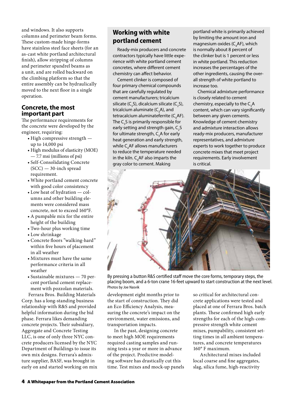and windows. It also supports columns and perimeter beam forms. These custom-made hinge-forms have stainless steel face sheets (for an as-cast white portland architectural finish), allow stripping of columns and perimeter spandrel beams as a unit, and are rolled backward on the climbing platform so that the entire assembly can be hydraulically moved to the next floor in a single operation.

#### **Concrete, the most important part**

The performance requirements for the concrete were developed by the engineer, requiring:

- • High compressive strength up to 14,000 psi
- High modulus of elasticity (MOE) — 7.7 msi (millions of psi)
- • Self-Consolidating Concrete (SCC) — 30-inch spread requirement.
- • White portland cement concrete with good color consistency
- Low heat of hydration columns and other building elements were considered mass concrete, not to exceed 160°F.
- A pumpable mix for the entire height of the building
- • Two-hour plus working time
- • Low shrinkage
- • Concrete floors "walking-hard" within five hours of placement in all weather
- Mixtures must have the same performance criteria in all weather
- $\bullet$  Sustainable mixtures  $-70$  percent portland cement replacement with pozzolan materials. Ferrara Bros. Building Materials

Corp. has a long-standing business relationship with R&S and provided helpful information during the bid phase. Ferrara likes demanding concrete projects. Their subsidiary, Aggregate and Concrete Testing LLC, is one of only three NYC concrete producers licensed by the NYC Department of Buildings to issue its own mix designs. Ferrara's admixture supplier, BASF, was brought in early on and started working on mix

# **Working with white portland cement**

Ready-mix producers and concrete contractors typically have little experience with white portland cement concretes, where different cement chemistry can affect behavior.

Cement clinker is composed of four primary chemical compounds that are carefully regulated by cement manufacturers; tricalcium silicate (C<sub>3</sub>S), dicalcium silicate (C<sub>2</sub>S), tricalcium aluminate (C $_{\textrm{\tiny{3}}}$ A), and tetracalcium aluminateferrite (C $_{\rm 4}$ AF). The  $\mathsf{C}_\mathsf{3}\mathsf{S}$  is primarily responsible for early setting and strength gain,  $\mathsf{C}_\mathsf{2}\mathsf{S}$ for ultimate strength,  $\mathsf{C}_{\mathsf{3}}\mathsf{A}$  for early heat generation and early strength, while  $\mathsf{C}_4$ AF allows manufacturers to reduce the temperature needed in the kiln.  $\mathsf{C}_4$ AF also imparts the gray color to cement. Making

portland white is primarily achieved by limiting the amount iron and magnesium oxides (C $_{\rm 4}$ AF), which is normally about 8 percent of the clinker but is 1 percent or less in white portland. This reduction increases the percentages of the other ingredients, causing the overall strength of white portland to increase too.

Chemical admixture performance is closely related to cement chemistry, especially to the  $\mathsf{C}_{\mathsf{3}}\mathsf{A}$ content, which can vary significantly between any given cements. Knowledge of cement chemistry and admixture interaction allows ready-mix producers, manufacturer representatives, and admixture experts to work together to produce concrete mixes that meet project requirements. Early involvement is critical.

![](_page_3_Picture_20.jpeg)

By pressing a button R&S certified staff move the core forms, temporary steps, the placing boom, and a 6-ton crane 16-feet upward to start construction at the next level. Photos by Joe Nasvik

development eight months prior to the start of construction. They did an Eco Efficiency Analysis, measuring the concrete's impact on the environment, water emissions, and transportation impacts.

In the past, designing concrete to meet high MOE requirements required casting samples and running tests a year or more in advance of the project. Predictive modeling software has drastically cut this time. Test mixes and mock-up panels so critical for architectural concrete applications were tested and placed at one of Ferrara Bros. batch plants. These confirmed high early strengths for each of the high-compressive strength white cement mixes, pumpability, consistent setting times in all ambient temperatures, and concrete temperatures 160° F maximum.

Architectural mixes included local coarse and fine aggregates, slag, silica fume, high-reactivity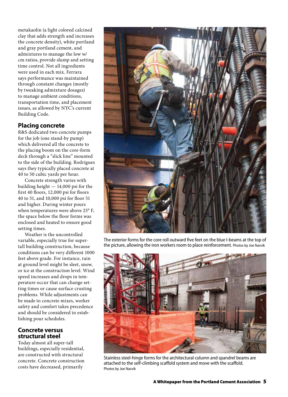metakaolin (a light colored calcined clay that adds strength and increases the concrete density), white portland and gray portland cement, and admixtures to manage the low w/ cm ratios, provide slump and setting time control. Not all ingredients were used in each mix. Ferrara says performance was maintained through constant changes (mostly by tweaking admixture dosages) to manage ambient conditions, transportation time, and placement issues, as allowed by NYC's current Building Code.

#### **Placing concrete**

R&S dedicated two concrete pumps for the job (one stand-by pump) which delivered all the concrete to the placing boom on the core-form deck through a "slick line" mounted to the side of the building. Rodrigues says they typically placed concrete at 40 to 50 cubic yards per hour.

Concrete strength varies with building height — 14,000 psi for the first 40 floors, 12,000 psi for floors 40 to 51, and 10,000 psi for floor 51 and higher. During winter pours when temperatures were above 25° F, the space below the floor forms was enclosed and heated to ensure good setting times.

Weather is the uncontrolled variable, especially true for supertall building construction, because conditions can be very different 1000 feet above grade. For instance, rain at ground level might be sleet, snow, or ice at the construction level. Wind speed increases and drops in temperature occur that can change setting times or cause surface crusting problems. While adjustments can be made to concrete mixes, worker safety and comfort takes precedence and should be considered in establishing pour schedules.

#### **Concrete versus structural steel**

Today almost all super-tall buildings, especially residential, are constructed with structural concrete. Concrete construction costs have decreased, primarily

![](_page_4_Picture_7.jpeg)

The exterior forms for the core roll outward five feet on the blue I-beams at the top of the picture, allowing the iron workers room to place reinforcement. Photos by Joe Nasvik

![](_page_4_Picture_9.jpeg)

Stainless steel-hinge forms for the architectural column and spandrel beams are attached to the self-climbing scaffold system and move with the scaffold. Photos by Joe Nasvik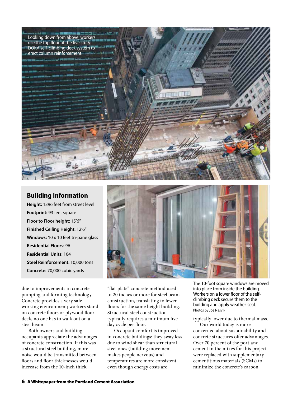![](_page_5_Picture_0.jpeg)

### **Building Information**

**Height:** 1396 feet from street level **Footprint:** 93 feet square **Floor to Floor height:** 15'6" **Finished Ceiling Height:** 12'6" **Windows: 1**0 x 10 feet tri-pane glass **Residential Floors:** 96 **Residential Units:** 104 **Steel Reinforcement:** 10,000 tons **Concrete:** 70,000 cubic yards

due to improvements in concrete pumping and forming technology. Concrete provides a very safe working environment; workers stand on concrete floors or plywood floor deck, no one has to walk out on a steel beam.

Both owners and building occupants appreciate the advantages of concrete construction. If this was a structural steel building, more noise would be transmitted between floors and floor thicknesses would increase from the 10-inch thick

![](_page_5_Picture_5.jpeg)

"flat-plate" concrete method used to 20 inches or more for steel beam construction, translating to fewer floors for the same height building. Structural steel construction typically requires a minimum five day cycle per floor.

Occupant comfort is improved in concrete buildings: they sway less due to wind shear than structural steel ones (building movement makes people nervous) and temperatures are more consistent even though energy costs are

The 10-foot square windows are moved into place from inside the building. Workers on a lower floor of the selfclimbing deck secure them to the building and apply weather-seal. Photos by Joe Nasvik

#### typically lower due to thermal mass.

Our world today is more concerned about sustainability and concrete structures offer advantages. Over 70 percent of the portland cement in the mixes for this project were replaced with supplementary cementitious materials (SCMs) to minimize the concrete's carbon